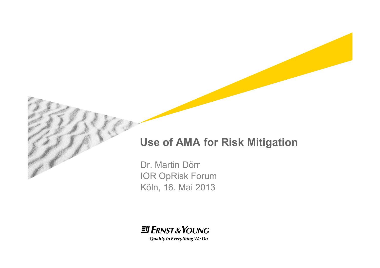#### **Use of AMA for Risk Mitigation**

Dr. Martin Dörr IOR OpRisk Forum Köln, 16. Mai 2013

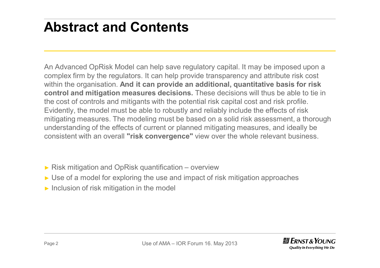#### **Abstract and Contents**

An Advanced OpRisk Model can help save regulatory capital. It may be imposed upon a complex firm by the regulators. It can help provide transparency and attribute risk cost within the organisation. **And it can provide an additional, quantitative basis for risk control and mitigation measures decisions.** These decisions will thus be able to tie in the cost of controls and mitigants with the potential risk capital cost and risk profile. Evidently, the model must be able to robustly and reliably include the effects of risk mitigating measures. The modeling must be based on a solid risk assessment, a thorough understanding of the effects of current or planned mitigating measures, and ideally be consistent with an overall **"risk convergence"** view over the whole relevant business.

- $\triangleright$  Risk mitigation and OpRisk quantification overview
- ► Use of a model for exploring the use and impact of risk mitigation approaches
- $\triangleright$  Inclusion of risk mitigation in the model

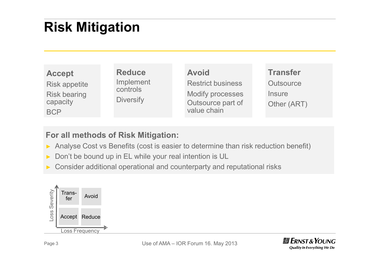## **Risk Mitigation**

| <b>Accept</b>                   | <b>Reduce</b>         | <b>Avoid</b>                                 | <b>Transfer</b>                            |
|---------------------------------|-----------------------|----------------------------------------------|--------------------------------------------|
| <b>Risk appetite</b>            | Implement<br>controls | <b>Restrict business</b>                     | Outsource                                  |
| <b>Risk bearing</b><br>capacity | <b>Diversify</b>      | <b>Modify processes</b><br>Outsource part of | <i><u><b>Insure</b></u></i><br>Other (ART) |
| <b>BCP</b>                      |                       | value chain                                  |                                            |

#### **For all methods of Risk Mitigation:**

- ► Analyse Cost vs Benefits (cost is easier to determine than risk reduction benefit)
- ► Don't be bound up in EL while your real intention is UL
- Consider additional operational and counterparty and reputational risks



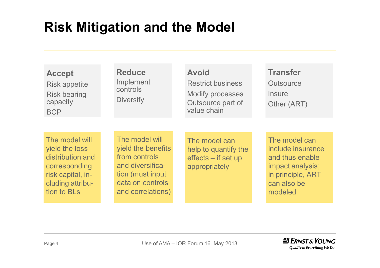#### **Risk Mitigation and the Model**

| <b>Accept</b><br><b>Risk appetite</b><br><b>Risk bearing</b><br>capacity<br><b>BCP</b>                                        | <b>Reduce</b><br>Implement<br>controls<br><b>Diversify</b>                                                                              | <b>Avoid</b><br><b>Restrict business</b><br><b>Modify processes</b><br>Outsource part of<br>value chain | <b>Transfer</b><br><b>Outsource</b><br>Insure<br>Other (ART)                                                             |
|-------------------------------------------------------------------------------------------------------------------------------|-----------------------------------------------------------------------------------------------------------------------------------------|---------------------------------------------------------------------------------------------------------|--------------------------------------------------------------------------------------------------------------------------|
| The model will<br>yield the loss<br>distribution and<br>corresponding<br>risk capital, in-<br>cluding attribu-<br>tion to BLs | The model will<br>yield the benefits<br>from controls<br>and diversifica-<br>tion (must input)<br>data on controls<br>and correlations) | The model can<br>help to quantify the<br>effects – if set up<br>appropriately                           | The model can<br>include insurance<br>and thus enable<br>impact analysis;<br>in principle, ART<br>can also be<br>modeled |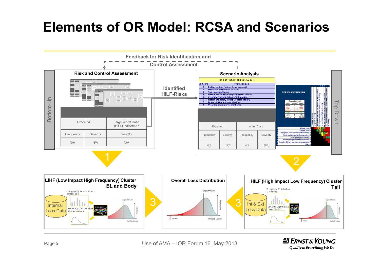#### **Elements of OR Model: RCSA and Scenarios**



Page 5 **Use of AMA – IOR Forum 16. May 2013** 

 $H$  ERNST & YOUNG **Quality In Everything We Do**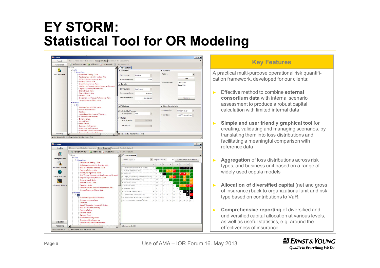#### **EY STORM: Statistical Tool for OR Modeling**

| <b>STORM</b>              | Manage Model Data Set   Insurance Group Structure   Advanced   Run Calculation      |                                                         | $  \sqrt{2}$                                                                                                      |  |
|---------------------------|-------------------------------------------------------------------------------------|---------------------------------------------------------|-------------------------------------------------------------------------------------------------------------------|--|
| Models                    |                                                                                     |                                                         |                                                                                                                   |  |
| Calculation               | Refresh Structure a Add Node & Delete Node & Destroy Results                        |                                                         |                                                                                                                   |  |
|                           | $F -$ Root<br>E-Asia                                                                | <b>Risk Details</b>                                     |                                                                                                                   |  |
| a,                        | E-Hong Kong                                                                         | <b>A</b> Frequency                                      | $\hat{z}$ Insurance                                                                                               |  |
| <b>Run Calculation</b>    | Investment Trading - Asia<br>Relationships with third parties - Asia                | $\overline{\phantom{a}}$<br>Distribution:<br>Poisson    | Policy:<br>$\overline{\phantom{a}}$<br>Add                                                                        |  |
|                           | BCP and disaster recovery - Asia<br>Systems Failure - Asia                          | Annual Frequency:<br>1 in 2                             | Active Policies :<br>TestPolicy                                                                                   |  |
|                           | - Client Dealing Errors - Asia<br>"NAV Errors, Corporate Action Issues and Accounti | <b>A</b> Severity                                       | LaverNo <sub>2</sub>                                                                                              |  |
|                           | -Legal & Regulatory Failures - Asia<br>- Internal fraud - Asia                      | Distribution:<br>$\overline{\phantom{a}}$<br>Log-Normal |                                                                                                                   |  |
|                           | - External Fraud - Asia<br>-Taxation - Asia                                         | Severe case Freq.:<br>1 in 100                          |                                                                                                                   |  |
|                           | "Investment and Product Performance - Asia<br>-Human Resources Risks - Asia         | Severe case Sev :<br>1,000,000.00                       | Remove                                                                                                            |  |
| E-Europe<br>E-UK          | a: Fit Options                                                                      | * Other Characteristics                                 |                                                                                                                   |  |
|                           | - Relationships with third parties                                                  |                                                         |                                                                                                                   |  |
|                           | - Human resources risks<br>-Taxation                                                | Selected Tail Fatness                                   | Compounder:<br>Sim Convolver                                                                                      |  |
|                           | -Legal / Regulatory breach / Fiduciary                                              | $\star$<br>Description:<br>Eat                          | Basel Cat:<br>1. (IF) Internal frau -                                                                             |  |
|                           | BCP and disaster recovery                                                           | OMedian                                                 |                                                                                                                   |  |
|                           | Systems failure                                                                     | Avg Severity :<br>20,000,00                             |                                                                                                                   |  |
|                           | - Internal fraud                                                                    |                                                         |                                                                                                                   |  |
|                           | - External fraud                                                                    | Percentile :                                            |                                                                                                                   |  |
|                           | - Customer dealing errors                                                           | 0.5                                                     |                                                                                                                   |  |
|                           | - Investment trading errors                                                         |                                                         |                                                                                                                   |  |
|                           | Investment Administration errors<br>Cornorata Accounting Failures                   |                                                         |                                                                                                                   |  |
| <b>Reporting</b>          |                                                                                     | Selected node: Internal fraud - Asia                    |                                                                                                                   |  |
|                           | Active Scenario Id: 223, Description: With Insurance Test                           |                                                         |                                                                                                                   |  |
|                           |                                                                                     |                                                         |                                                                                                                   |  |
|                           |                                                                                     |                                                         |                                                                                                                   |  |
| <b>STORM</b>              |                                                                                     |                                                         | $ \Box$ $\times$                                                                                                  |  |
| Models                    | Manage Model Data Set   Insurance   Group Structure   Advanced   Run Calculation    |                                                         |                                                                                                                   |  |
|                           |                                                                                     |                                                         |                                                                                                                   |  |
| 鳳                         | C Refresh Structure 3 Add Node X Delete Node & Destroy Results                      |                                                         |                                                                                                                   |  |
|                           | $E - Root$                                                                          | <b>Entity Details</b>                                   |                                                                                                                   |  |
| Manage Models             | E-Asia<br>E Hong Kong                                                               | Copula Type: T<br>$\star$                               | Copula Param:<br>Select matrix in workbook<br>12                                                                  |  |
|                           | - Investment Trading - Asia<br>Relationships with third parties - Asia              | Risk<br>$\mathbf{1}$                                    | 5<br>$\overline{7}$<br>$\overline{q}$<br>10 11 12<br>$\overline{2}$<br>$\overline{3}$<br>$\overline{4}$<br>6<br>8 |  |
| <b>Insurance Policies</b> | BCP and disaster recovery - Asia                                                    | 1. Relationships with third parties<br>P                |                                                                                                                   |  |
|                           | Systems Failure - Asia                                                              | 2. Human resources risks<br>Ł.                          | P<br>н                                                                                                            |  |
|                           |                                                                                     |                                                         |                                                                                                                   |  |
|                           | Client Dealing Errors - Asia<br>"NAV Errors, Corporate Action Issues and Accounti   | 3. Taxation<br>T                                        | ÎΕ<br>P.<br>P<br>н<br>н                                                                                           |  |

 $E$  **DCD** and die aster recovery

Customer dealing errors

10. Investment trading errors

2. Corporate Accounting failures

11 Investment Administration error D

6. Systems failure

Internal fraud

R Eyternal fraud

Selected node: UK

Legal & Regulatory Failures - Asia Internal fraud - Asia

Human Resources Risks - Asia

.<br>...<br>Relationships with third parties Human resources risks

-Legal / Regulatory breach / Fiduciary BCP and disaster recovery Systems failure Internal fraud - External fraud Customer dealing errors Investment trading errors

Investment Administration error

Investment and Product Performance - Asia

External Fraud - Asia

Taxation - Asia

Tavation

El-Furence

Active Scenario Id: 223, Description: With Insurance Test

E UK

#### **Key Features**

A practical multi-purpose operational risk quantification framework, developed for our clients:

- ► Effective method to combine **external consortium data** with internal scenario assessment to produce a robust capital calculation with limited internal data
- ► **Simple and user friendly graphical tool** for creating, validating and managing scenarios, by translating them into loss distributions and facilitating a meaningful comparison with reference data
- ► **Aggregation** of loss distributions across risk types, and business unit based on a range of widely used copula models
- ► **Allocation of diversified capital** (net and gross of insurance) back to organizational unit and risk type based on contributions to VaR.
- ► **Comprehensive reporting** of diversified and undiversified capital allocation at various levels, as well as useful statistics, e.g. around the effectiveness of insurance

Advanced Settings

Calculation

Reporting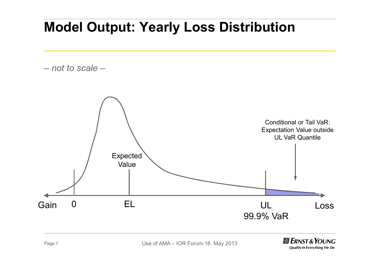#### **Model Output: Yearly Loss Distribution**

*– not to scale –*

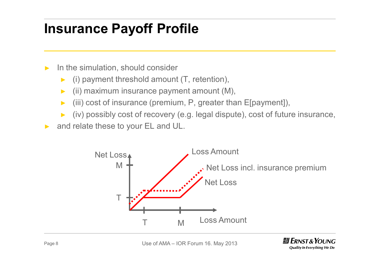#### **Insurance Payoff Profile**

- $\blacktriangleright$  In the simulation, should consider
	- $(i)$  payment threshold amount  $(T,$  retention),
	- $\triangleright$  (ii) maximum insurance payment amount (M),
	- $\blacktriangleright$  (iii) cost of insurance (premium, P, greater than E[payment]),
	- ► (iv) possibly cost of recovery (e.g. legal dispute), cost of future insurance,
- ► and relate these to your EL and UL.



Page 8 **Use of AMA – IOR Forum 16. May 2013**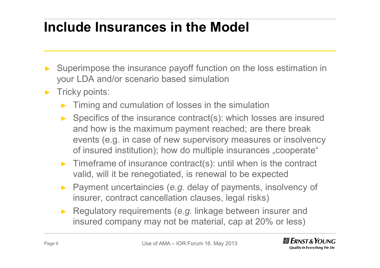### **Include Insurances in the Model**

- Superimpose the insurance payoff function on the loss estimation in your LDA and/or scenario based simulation
- ► Tricky points:
	- Timing and cumulation of losses in the simulation
	- Specifics of the insurance contract(s): which losses are insured and how is the maximum payment reached; are there break events (e.g. in case of new supervisory measures or insolvency of insured institution); how do multiple insurances "cooperate"
	- ► Timeframe of insurance contract(s): until when is the contract valid, will it be renegotiated, is renewal to be expected
	- Payment uncertaincies (*e.g.* delay of payments, insolvency of insurer, contract cancellation clauses, legal risks)
	- Regulatory requirements (*e.g.* linkage between insurer and insured company may not be material, cap at 20% or less)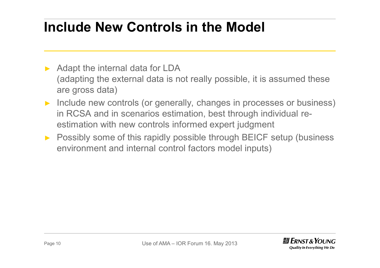### **Include New Controls in the Model**

- Adapt the internal data for LDA (adapting the external data is not really possible, it is assumed these are gross data)
- ► Include new controls (or generally, changes in processes or business) in RCSA and in scenarios estimation, best through individual reestimation with new controls informed expert judgment
- ► Possibly some of this rapidly possible through BEICF setup (business environment and internal control factors model inputs)

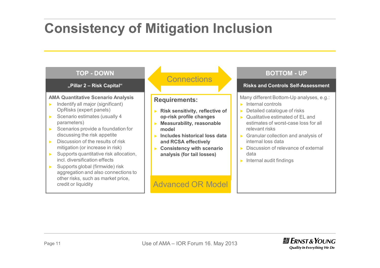#### **Consistency of Mitigation Inclusion**

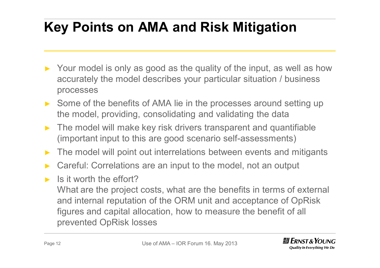# **Key Points on AMA and Risk Mitigation**

- ► Your model is only as good as the quality of the input, as well as how accurately the model describes your particular situation / business processes
- ► Some of the benefits of AMA lie in the processes around setting up the model, providing, consolidating and validating the data
- The model will make key risk drivers transparent and quantifiable (important input to this are good scenario self-assessments)
- ► The model will point out interrelations between events and mitigants
- ► Careful: Correlations are an input to the model, not an output
- ► Is it worth the effort?

What are the project costs, what are the benefits in terms of external and internal reputation of the ORM unit and acceptance of OpRisk figures and capital allocation, how to measure the benefit of all prevented OpRisk losses